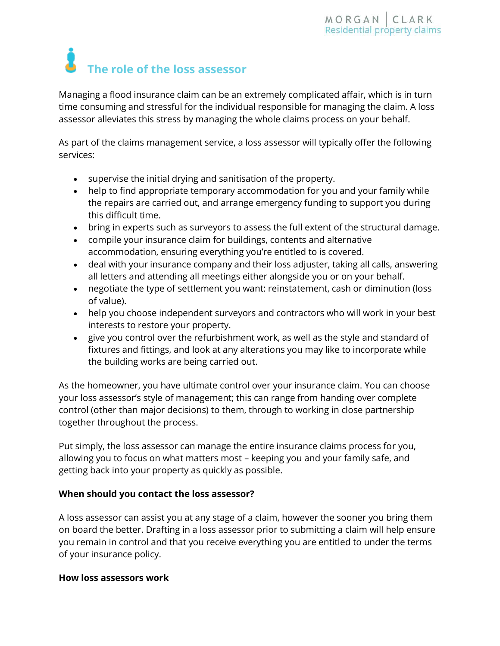# **The role of the loss assessor**

Managing a flood insurance claim can be an extremely complicated affair, which is in turn time consuming and stressful for the individual responsible for managing the claim. A loss assessor alleviates this stress by managing the whole claims process on your behalf.

As part of the claims management service, a loss assessor will typically offer the following services:

- supervise the initial drying and sanitisation of the property.
- help to find appropriate temporary accommodation for you and your family while the repairs are carried out, and arrange emergency funding to support you during this difficult time.
- bring in experts such as surveyors to assess the full extent of the structural damage.
- compile your insurance claim for buildings, contents and alternative accommodation, ensuring everything you're entitled to is covered.
- deal with your insurance company and their loss adjuster, taking all calls, answering all letters and attending all meetings either alongside you or on your behalf.
- negotiate the type of settlement you want: reinstatement, cash or diminution (loss of value).
- help you choose independent surveyors and contractors who will work in your best interests to restore your property.
- give you control over the refurbishment work, as well as the style and standard of fixtures and fittings, and look at any alterations you may like to incorporate while the building works are being carried out.

As the homeowner, you have ultimate control over your insurance claim. You can choose your loss assessor's style of management; this can range from handing over complete control (other than major decisions) to them, through to working in close partnership together throughout the process.

Put simply, the loss assessor can manage the entire insurance claims process for you, allowing you to focus on what matters most – keeping you and your family safe, and getting back into your property as quickly as possible.

## **When should you contact the loss assessor?**

A loss assessor can assist you at any stage of a claim, however the sooner you bring them on board the better. Drafting in a loss assessor prior to submitting a claim will help ensure you remain in control and that you receive everything you are entitled to under the terms of your insurance policy.

## **How loss assessors work**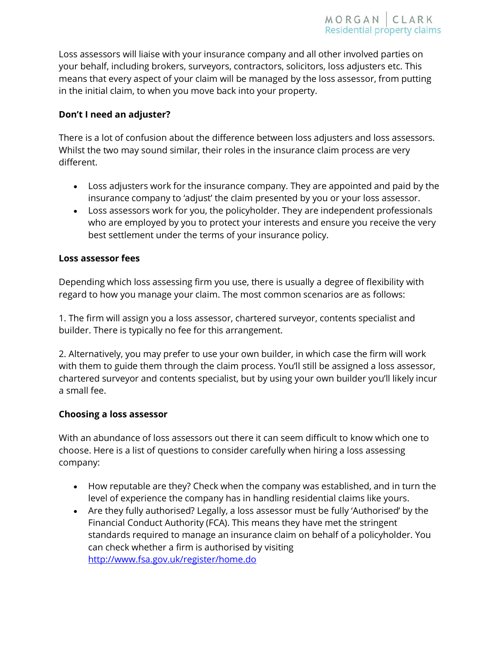Loss assessors will liaise with your insurance company and all other involved parties on your behalf, including brokers, surveyors, contractors, solicitors, loss adjusters etc. This means that every aspect of your claim will be managed by the loss assessor, from putting in the initial claim, to when you move back into your property.

## **Don't I need an adjuster?**

There is a lot of confusion about the difference between loss adjusters and loss assessors. Whilst the two may sound similar, their roles in the insurance claim process are very different.

- Loss adjusters work for the insurance company. They are appointed and paid by the insurance company to 'adjust' the claim presented by you or your loss assessor.
- Loss assessors work for you, the policyholder. They are independent professionals who are employed by you to protect your interests and ensure you receive the very best settlement under the terms of your insurance policy.

#### **Loss assessor fees**

Depending which loss assessing firm you use, there is usually a degree of flexibility with regard to how you manage your claim. The most common scenarios are as follows:

1. The firm will assign you a loss assessor, chartered surveyor, contents specialist and builder. There is typically no fee for this arrangement.

2. Alternatively, you may prefer to use your own builder, in which case the firm will work with them to guide them through the claim process. You'll still be assigned a loss assessor, chartered surveyor and contents specialist, but by using your own builder you'll likely incur a small fee.

#### **Choosing a loss assessor**

With an abundance of loss assessors out there it can seem difficult to know which one to choose. Here is a list of questions to consider carefully when hiring a loss assessing company:

- How reputable are they? Check when the company was established, and in turn the level of experience the company has in handling residential claims like yours.
- Are they fully authorised? Legally, a loss assessor must be fully 'Authorised' by the Financial Conduct Authority (FCA). This means they have met the stringent standards required to manage an insurance claim on behalf of a policyholder. You can check whether a firm is authorised by visiting http://www.fsa.gov.uk/register/home.do